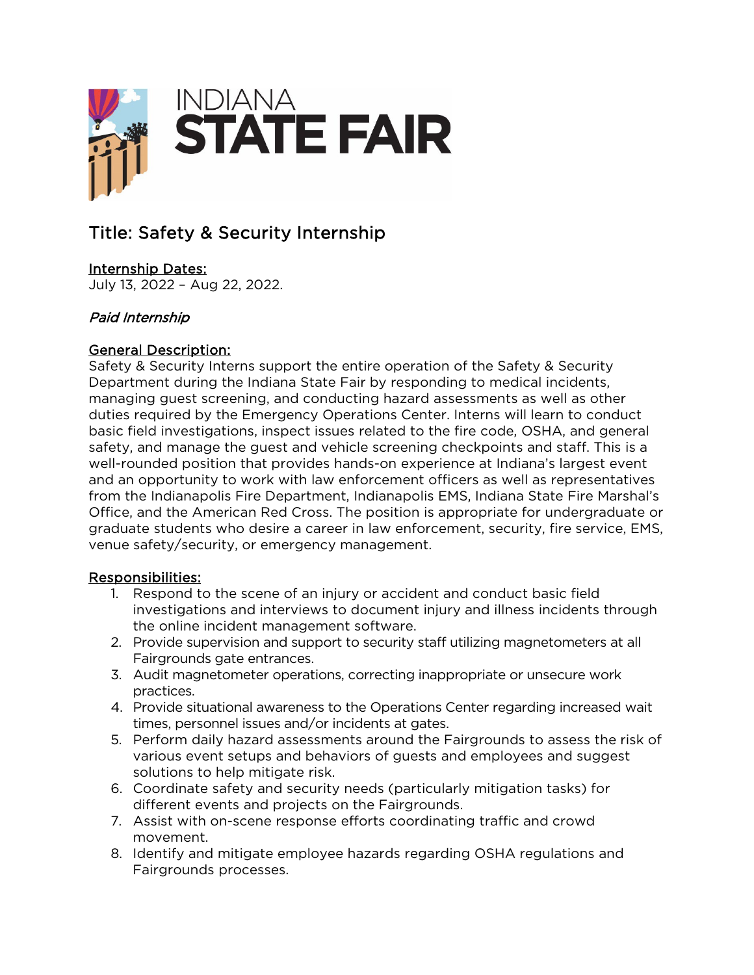

# Title: Safety & Security Internship

## Internship Dates:

July 13, 2022 – Aug 22, 2022.

## Paid Internship

#### General Description:

Safety & Security Interns support the entire operation of the Safety & Security Department during the Indiana State Fair by responding to medical incidents, managing guest screening, and conducting hazard assessments as well as other duties required by the Emergency Operations Center. Interns will learn to conduct basic field investigations, inspect issues related to the fire code, OSHA, and general safety, and manage the guest and vehicle screening checkpoints and staff. This is a well-rounded position that provides hands-on experience at Indiana's largest event and an opportunity to work with law enforcement officers as well as representatives from the Indianapolis Fire Department, Indianapolis EMS, Indiana State Fire Marshal's Office, and the American Red Cross. The position is appropriate for undergraduate or graduate students who desire a career in law enforcement, security, fire service, EMS, venue safety/security, or emergency management.

#### Responsibilities:

- 1. Respond to the scene of an injury or accident and conduct basic field investigations and interviews to document injury and illness incidents through the online incident management software.
- 2. Provide supervision and support to security staff utilizing magnetometers at all Fairgrounds gate entrances.
- 3. Audit magnetometer operations, correcting inappropriate or unsecure work practices.
- 4. Provide situational awareness to the Operations Center regarding increased wait times, personnel issues and/or incidents at gates.
- 5. Perform daily hazard assessments around the Fairgrounds to assess the risk of various event setups and behaviors of guests and employees and suggest solutions to help mitigate risk.
- 6. Coordinate safety and security needs (particularly mitigation tasks) for different events and projects on the Fairgrounds.
- 7. Assist with on-scene response efforts coordinating traffic and crowd movement.
- 8. Identify and mitigate employee hazards regarding OSHA regulations and Fairgrounds processes.